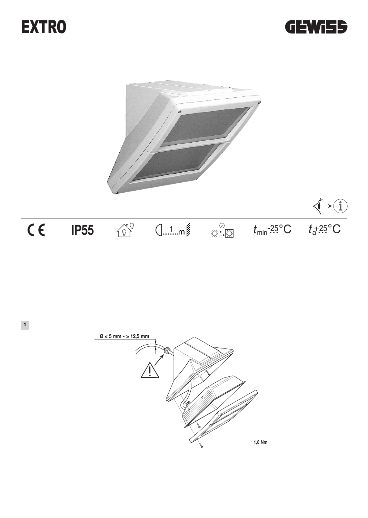





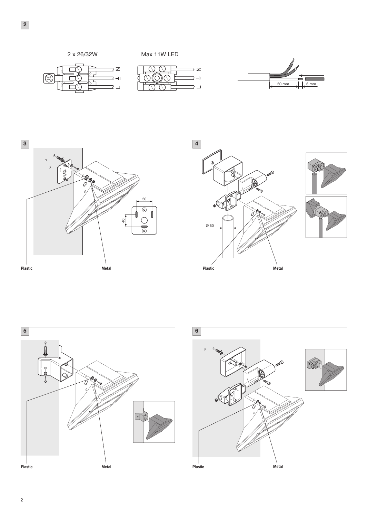







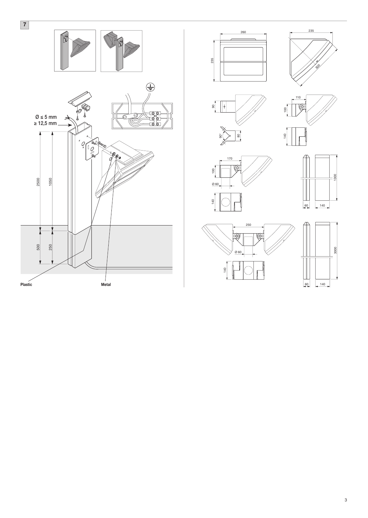